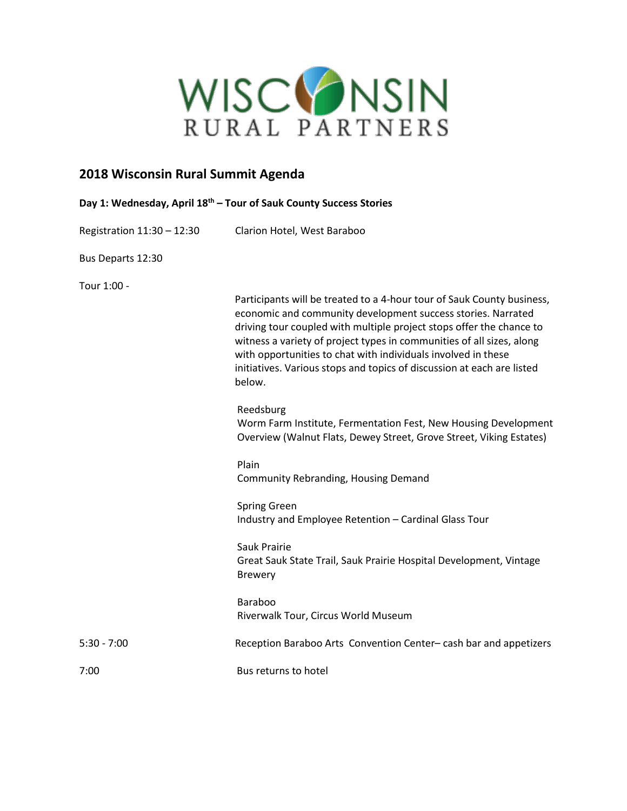

# **2018 Wisconsin Rural Summit Agenda**

| Day 1: Wednesday, April 18 <sup>th</sup> – Tour of Sauk County Success Stories |                                                                                                                                                                                                                                                                                                                                                                                                                                                                                                                                                                                                                                                                                                                                               |
|--------------------------------------------------------------------------------|-----------------------------------------------------------------------------------------------------------------------------------------------------------------------------------------------------------------------------------------------------------------------------------------------------------------------------------------------------------------------------------------------------------------------------------------------------------------------------------------------------------------------------------------------------------------------------------------------------------------------------------------------------------------------------------------------------------------------------------------------|
| Registration 11:30 - 12:30                                                     | Clarion Hotel, West Baraboo                                                                                                                                                                                                                                                                                                                                                                                                                                                                                                                                                                                                                                                                                                                   |
| Bus Departs 12:30                                                              |                                                                                                                                                                                                                                                                                                                                                                                                                                                                                                                                                                                                                                                                                                                                               |
| Tour 1:00 -                                                                    | Participants will be treated to a 4-hour tour of Sauk County business,<br>economic and community development success stories. Narrated<br>driving tour coupled with multiple project stops offer the chance to<br>witness a variety of project types in communities of all sizes, along<br>with opportunities to chat with individuals involved in these<br>initiatives. Various stops and topics of discussion at each are listed<br>below.<br>Reedsburg<br>Worm Farm Institute, Fermentation Fest, New Housing Development<br>Overview (Walnut Flats, Dewey Street, Grove Street, Viking Estates)<br>Plain<br>Community Rebranding, Housing Demand<br>Spring Green<br>Industry and Employee Retention - Cardinal Glass Tour<br>Sauk Prairie |
|                                                                                | Great Sauk State Trail, Sauk Prairie Hospital Development, Vintage<br><b>Brewery</b>                                                                                                                                                                                                                                                                                                                                                                                                                                                                                                                                                                                                                                                          |
|                                                                                | Baraboo<br>Riverwalk Tour, Circus World Museum                                                                                                                                                                                                                                                                                                                                                                                                                                                                                                                                                                                                                                                                                                |
| $5:30 - 7:00$                                                                  | Reception Baraboo Arts Convention Center-cash bar and appetizers                                                                                                                                                                                                                                                                                                                                                                                                                                                                                                                                                                                                                                                                              |
| 7:00                                                                           | Bus returns to hotel                                                                                                                                                                                                                                                                                                                                                                                                                                                                                                                                                                                                                                                                                                                          |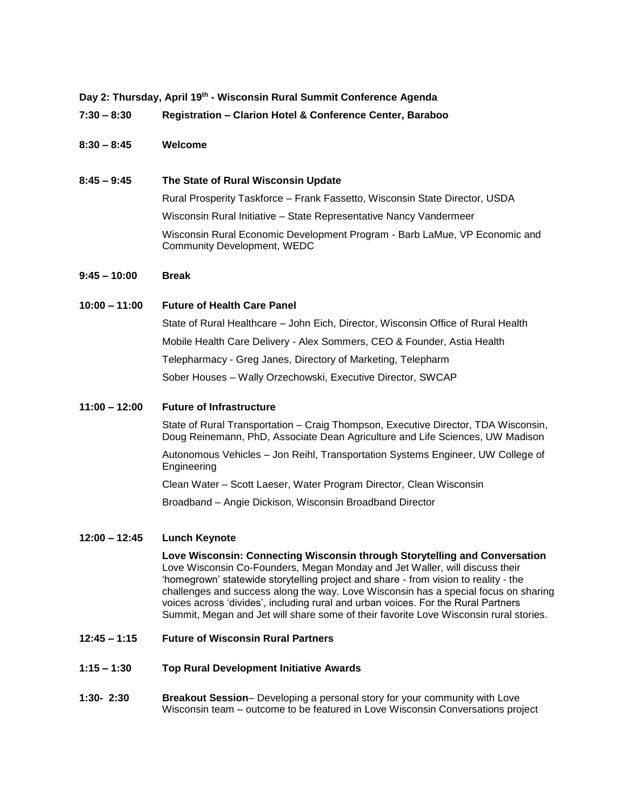**Day 2: Thursday, April 19th - Wisconsin Rural Summit Conference Agenda**

**7:30 – 8:30 Registration – Clarion Hotel & Conference Center, Baraboo**

## **8:30 – 8:45 Welcome**

## **8:45 – 9:45 The State of Rural Wisconsin Update**

Rural Prosperity Taskforce – Frank Fassetto, Wisconsin State Director, USDA Wisconsin Rural Initiative – State Representative Nancy Vandermeer Wisconsin Rural Economic Development Program - Barb LaMue, VP Economic and Community Development, WEDC

## **9:45 – 10:00 Break**

#### **10:00 – 11:00 Future of Health Care Panel**

State of Rural Healthcare – John Eich, Director, Wisconsin Office of Rural Health Mobile Health Care Delivery - Alex Sommers, CEO & Founder, Astia Health Telepharmacy - Greg Janes, Directory of Marketing, Telepharm Sober Houses – Wally Orzechowski, Executive Director, SWCAP

#### **11:00 – 12:00 Future of Infrastructure**

State of Rural Transportation – Craig Thompson, Executive Director, TDA Wisconsin, Doug Reinemann, PhD, Associate Dean Agriculture and Life Sciences, UW Madison

Autonomous Vehicles – Jon Reihl, Transportation Systems Engineer, UW College of Engineering

Clean Water – Scott Laeser, Water Program Director, Clean Wisconsin

Broadband – Angie Dickison, Wisconsin Broadband Director

#### **12:00 – 12:45 Lunch Keynote**

**Love Wisconsin: Connecting Wisconsin through Storytelling and Conversation** Love Wisconsin Co-Founders, Megan Monday and Jet Waller, will discuss their 'homegrown' statewide storytelling project and share - from vision to reality - the challenges and success along the way. Love Wisconsin has a special focus on sharing voices across 'divides', including rural and urban voices. For the Rural Partners Summit, Megan and Jet will share some of their favorite Love Wisconsin rural stories.

#### **12:45 – 1:15 Future of Wisconsin Rural Partners**

- **1:15 – 1:30 Top Rural Development Initiative Awards**
- **1:30- 2:30 Breakout Session** Developing a personal story for your community with Love Wisconsin team – outcome to be featured in Love Wisconsin Conversations project